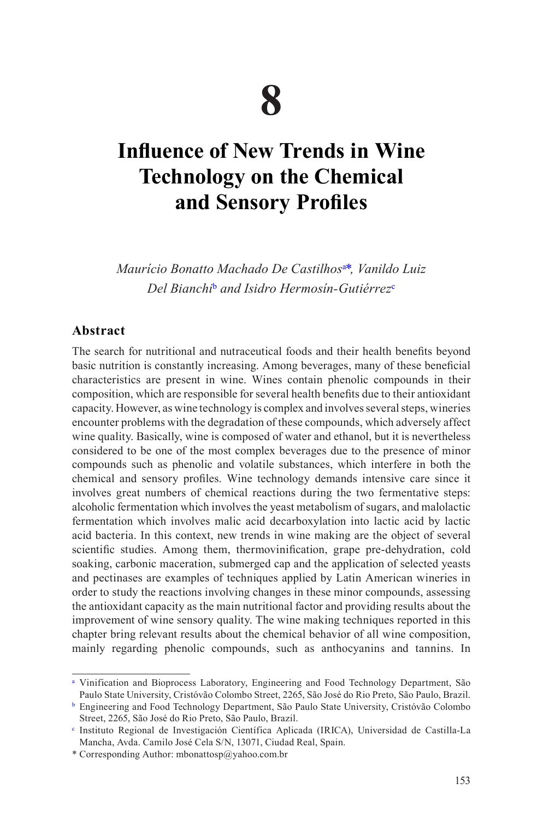# **8**

# **[Influence of New Trends in Wine](#page--1-0)  Technology on the Chemical and Sensory Profiles**

*Maurício Bonatto Machado De Castilhos*[a](#page--1-0) *[\\*,](#page--1-0) Vanildo Luiz Del Bianchi*[b](#page--1-0) *and Isidro Hermosín-Gutiérrez*[c](#page--1-0)

# **Abstract**

The search for nutritional and nutraceutical foods and their health benefits beyond basic nutrition is constantly increasing. Among beverages, many of these beneficial characteristics are present in wine. Wines contain phenolic compounds in their composition, which are responsible for several health benefits due to their antioxidant capacity. However, as wine technology is complex and involves several steps, wineries encounter problems with the degradation of these compounds, which adversely affect wine quality. Basically, wine is composed of water and ethanol, but it is nevertheless considered to be one of the most complex beverages due to the presence of minor compounds such as phenolic and volatile substances, which interfere in both the chemical and sensory profiles. Wine technology demands intensive care since it involves great numbers of chemical reactions during the two fermentative steps: alcoholic fermentation which involves the yeast metabolism of sugars, and malolactic fermentation which involves malic acid decarboxylation into lactic acid by lactic acid bacteria. In this context, new trends in wine making are the object of several scientific studies. Among them, thermovinification, grape pre-dehydration, cold soaking, carbonic maceration, submerged cap and the application of selected yeasts and pectinases are examples of techniques applied by Latin American wineries in order to study the reactions involving changes in these minor compounds, assessing the antioxidant capacity as the main nutritional factor and providing results about the improvement of wine sensory quality. The wine making techniques reported in this chapter bring relevant results about the chemical behavior of all wine composition, mainly regarding phenolic compounds, such as anthocyanins and tannins. In

[a](#page--1-0) Vinification and Bioprocess Laboratory, Engineering and Food Technology Department, São Paulo State University, Cristóvão Colombo Street, 2265, São José do Rio Preto, São Paulo, Brazil.

[b](#page--1-0) Engineering and Food Technology Department, São Paulo State University, Cristóvão Colombo Street, 2265, São José do Rio Preto, São Paulo, Brazil.

[c](#page--1-0) Instituto Regional de Investigación Científica Aplicada (IRICA), Universidad de Castilla-La Mancha, Avda. Camilo José Cela S/N, 13071, Ciudad Real, Spain.

[<sup>\\*</sup>](#page--1-0) Corresponding Author: [mbonattosp@yahoo.com.br](mailto:mbonattosp@yahoo.com.br)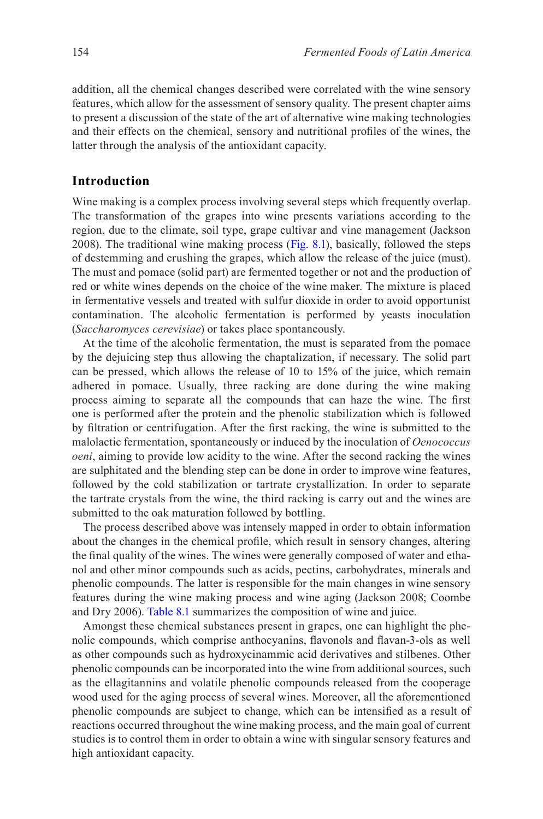addition, all the chemical changes described were correlated with the wine sensory features, which allow for the assessment of sensory quality. The present chapter aims to present a discussion of the state of the art of alternative wine making technologies and their effects on the chemical, sensory and nutritional profiles of the wines, the latter through the analysis of the antioxidant capacity.

# **Introduction**

Wine making is a complex process involving several steps which frequently overlap. The transformation of the grapes into wine presents variations according to the region, due to the climate, soil type, grape cultivar and vine management (Jackson 2008). The traditional wine making process [\(Fig. 8.1](#page--1-0)), basically, followed the steps of destemming and crushing the grapes, which allow the release of the juice (must). The must and pomace (solid part) are fermented together or not and the production of red or white wines depends on the choice of the wine maker. The mixture is placed in fermentative vessels and treated with sulfur dioxide in order to avoid opportunist contamination. The alcoholic fermentation is performed by yeasts inoculation (*Saccharomyces cerevisiae*) or takes place spontaneously.

At the time of the alcoholic fermentation, the must is separated from the pomace by the dejuicing step thus allowing the chaptalization, if necessary. The solid part can be pressed, which allows the release of 10 to 15% of the juice, which remain adhered in pomace. Usually, three racking are done during the wine making process aiming to separate all the compounds that can haze the wine. The first one is performed after the protein and the phenolic stabilization which is followed by filtration or centrifugation. After the first racking, the wine is submitted to the malolactic fermentation, spontaneously or induced by the inoculation of *Oenococcus oeni*, aiming to provide low acidity to the wine. After the second racking the wines are sulphitated and the blending step can be done in order to improve wine features, followed by the cold stabilization or tartrate crystallization. In order to separate the tartrate crystals from the wine, the third racking is carry out and the wines are submitted to the oak maturation followed by bottling.

The process described above was intensely mapped in order to obtain information about the changes in the chemical profile, which result in sensory changes, altering the final quality of the wines. The wines were generally composed of water and ethanol and other minor compounds such as acids, pectins, carbohydrates, minerals and phenolic compounds. The latter is responsible for the main changes in wine sensory features during the wine making process and wine aging (Jackson 2008; Coombe and Dry 2006). [Table 8.1](#page--1-0) summarizes the composition of wine and juice.

Amongst these chemical substances present in grapes, one can highlight the phenolic compounds, which comprise anthocyanins, flavonols and flavan-3-ols as well as other compounds such as hydroxycinammic acid derivatives and stilbenes. Other phenolic compounds can be incorporated into the wine from additional sources, such as the ellagitannins and volatile phenolic compounds released from the cooperage wood used for the aging process of several wines. Moreover, all the aforementioned phenolic compounds are subject to change, which can be intensified as a result of reactions occurred throughout the wine making process, and the main goal of current studies is to control them in order to obtain a wine with singular sensory features and high antioxidant capacity.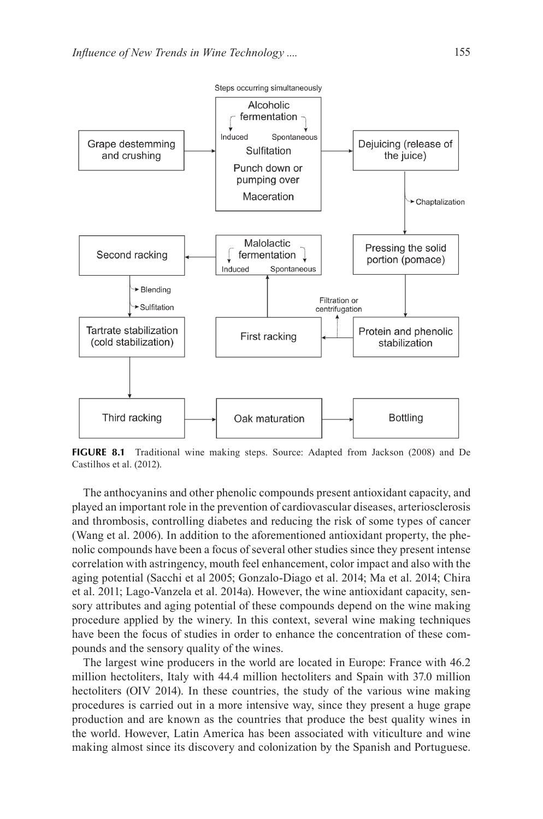

**FIGURE 8.1** Traditional wine making steps. Source: Adapted from Jackson (2008) and De Castilhos et al. (2012).

The anthocyanins and other phenolic compounds present antioxidant capacity, and played an important role in the prevention of cardiovascular diseases, arteriosclerosis and thrombosis, controlling diabetes and reducing the risk of some types of cancer (Wang et al. 2006). In addition to the aforementioned antioxidant property, the phenolic compounds have been a focus of several other studies since they present intense correlation with astringency, mouth feel enhancement, color impact and also with the aging potential (Sacchi et al 2005; Gonzalo-Diago et al. 2014; Ma et al. 2014; Chira et al. 2011; Lago-Vanzela et al. 2014a). However, the wine antioxidant capacity, sensory attributes and aging potential of these compounds depend on the wine making procedure applied by the winery. In this context, several wine making techniques have been the focus of studies in order to enhance the concentration of these compounds and the sensory quality of the wines.

The largest wine producers in the world are located in Europe: France with 46.2 million hectoliters, Italy with 44.4 million hectoliters and Spain with 37.0 million hectoliters (OIV 2014). In these countries, the study of the various wine making procedures is carried out in a more intensive way, since they present a huge grape production and are known as the countries that produce the best quality wines in the world. However, Latin America has been associated with viticulture and wine making almost since its discovery and colonization by the Spanish and Portuguese.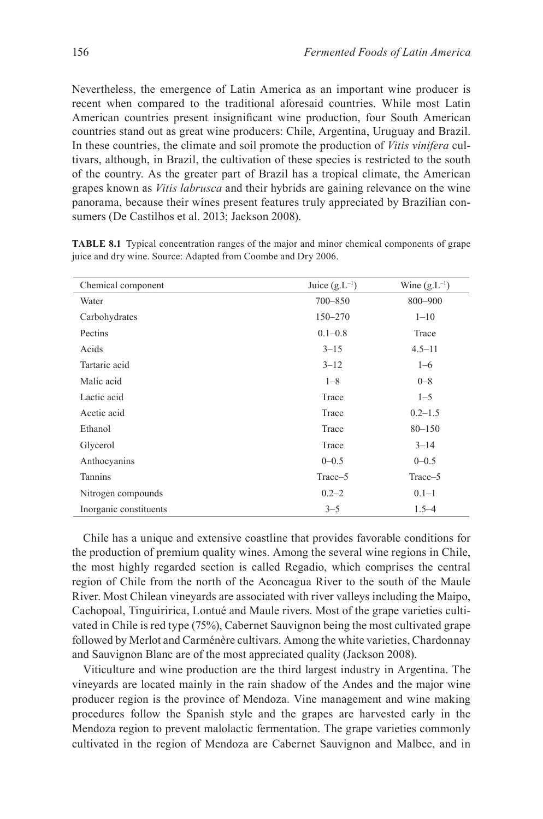Nevertheless, the emergence of Latin America as an important wine producer is recent when compared to the traditional aforesaid countries. While most Latin American countries present insignificant wine production, four South American countries stand out as great wine producers: Chile, Argentina, Uruguay and Brazil. In these countries, the climate and soil promote the production of *Vitis vinifera* cultivars, although, in Brazil, the cultivation of these species is restricted to the south of the country. As the greater part of Brazil has a tropical climate, the American grapes known as *Vitis labrusca* and their hybrids are gaining relevance on the wine panorama, because their wines present features truly appreciated by Brazilian consumers (De Castilhos et al. 2013; Jackson 2008).

| Chemical component     | Juice $(g.L^{-1})$ | Wine $(g.L^{-1})$ |
|------------------------|--------------------|-------------------|
| Water                  | 700-850            | 800-900           |
| Carbohydrates          | $150 - 270$        | $1 - 10$          |
| Pectins                | $0.1 - 0.8$        | Trace             |
| Acids                  | $3 - 15$           | $4.5 - 11$        |
| Tartaric acid          | $3 - 12$           | $1 - 6$           |
| Malic acid             | $1 - 8$            | $0 - 8$           |
| Lactic acid            | Trace              | $1 - 5$           |
| Acetic acid            | Trace              | $0.2 - 1.5$       |
| Ethanol                | Trace              | $80 - 150$        |
| Glycerol               | Trace              | $3 - 14$          |
| Anthocyanins           | $0 - 0.5$          | $0 - 0.5$         |
| Tannins                | Trace-5            | Trace-5           |
| Nitrogen compounds     | $0.2 - 2$          | $0.1 - 1$         |
| Inorganic constituents | $3 - 5$            | $1.5 - 4$         |

**TAble 8.1** Typical concentration ranges of the major and minor chemical components of grape juice and dry wine. Source: Adapted from Coombe and Dry 2006.

Chile has a unique and extensive coastline that provides favorable conditions for the production of premium quality wines. Among the several wine regions in Chile, the most highly regarded section is called Regadio, which comprises the central region of Chile from the north of the Aconcagua River to the south of the Maule River. Most Chilean vineyards are associated with river valleys including the Maipo, Cachopoal, Tinguiririca, Lontué and Maule rivers. Most of the grape varieties cultivated in Chile is red type (75%), Cabernet Sauvignon being the most cultivated grape followed by Merlot and Carménère cultivars. Among the white varieties, Chardonnay and Sauvignon Blanc are of the most appreciated quality (Jackson 2008).

Viticulture and wine production are the third largest industry in Argentina. The vineyards are located mainly in the rain shadow of the Andes and the major wine producer region is the province of Mendoza. Vine management and wine making procedures follow the Spanish style and the grapes are harvested early in the Mendoza region to prevent malolactic fermentation. The grape varieties commonly cultivated in the region of Mendoza are Cabernet Sauvignon and Malbec, and in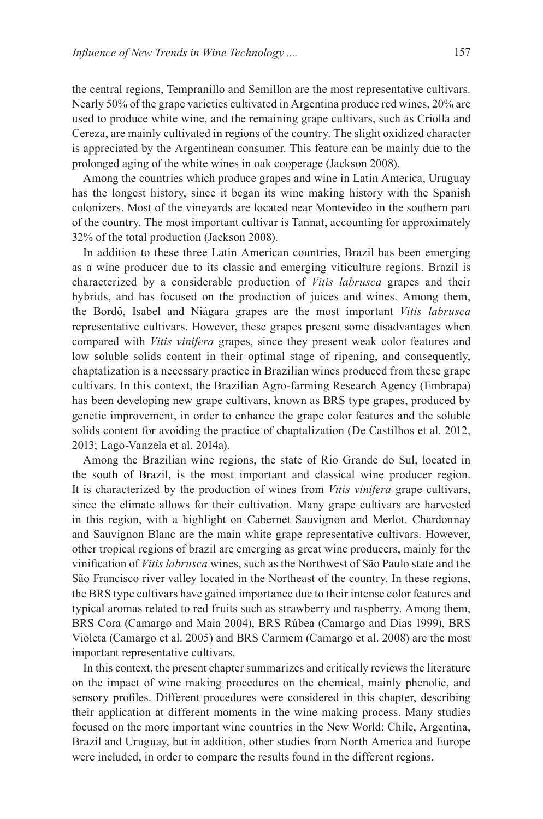the central regions, Tempranillo and Semillon are the most representative cultivars. Nearly 50% of the grape varieties cultivated in Argentina produce red wines, 20% are used to produce white wine, and the remaining grape cultivars, such as Criolla and Cereza, are mainly cultivated in regions of the country. The slight oxidized character is appreciated by the Argentinean consumer. This feature can be mainly due to the prolonged aging of the white wines in oak cooperage (Jackson 2008).

Among the countries which produce grapes and wine in Latin America, Uruguay has the longest history, since it began its wine making history with the Spanish colonizers. Most of the vineyards are located near Montevideo in the southern part of the country. The most important cultivar is Tannat, accounting for approximately 32% of the total production (Jackson 2008).

In addition to these three Latin American countries, Brazil has been emerging as a wine producer due to its classic and emerging viticulture regions. Brazil is characterized by a considerable production of *Vitis labrusca* grapes and their hybrids, and has focused on the production of juices and wines. Among them, the Bordô, Isabel and Niágara grapes are the most important *Vitis labrusca* representative cultivars. However, these grapes present some disadvantages when compared with *Vitis vinifera* grapes, since they present weak color features and low soluble solids content in their optimal stage of ripening, and consequently, chaptalization is a necessary practice in Brazilian wines produced from these grape cultivars. In this context, the Brazilian Agro-farming Research Agency (Embrapa) has been developing new grape cultivars, known as BRS type grapes, produced by genetic improvement, in order to enhance the grape color features and the soluble solids content for avoiding the practice of chaptalization (De Castilhos et al. 2012, 2013; Lago-Vanzela et al. 2014a).

Among the Brazilian wine regions, the state of Rio Grande do Sul, located in the south of Brazil, is the most important and classical wine producer region. It is characterized by the production of wines from *Vitis vinifera* grape cultivars, since the climate allows for their cultivation. Many grape cultivars are harvested in this region, with a highlight on Cabernet Sauvignon and Merlot. Chardonnay and Sauvignon Blanc are the main white grape representative cultivars. However, other tropical regions of brazil are emerging as great wine producers, mainly for the vinification of *Vitis labrusca* wines, such as the Northwest of São Paulo state and the São Francisco river valley located in the Northeast of the country. In these regions, the BRS type cultivars have gained importance due to their intense color features and typical aromas related to red fruits such as strawberry and raspberry. Among them, BRS Cora (Camargo and Maia 2004), BRS Rúbea (Camargo and Dias 1999), BRS Violeta (Camargo et al. 2005) and BRS Carmem (Camargo et al. 2008) are the most important representative cultivars.

In this context, the present chapter summarizes and critically reviews the literature on the impact of wine making procedures on the chemical, mainly phenolic, and sensory profiles. Different procedures were considered in this chapter, describing their application at different moments in the wine making process. Many studies focused on the more important wine countries in the New World: Chile, Argentina, Brazil and Uruguay, but in addition, other studies from North America and Europe were included, in order to compare the results found in the different regions.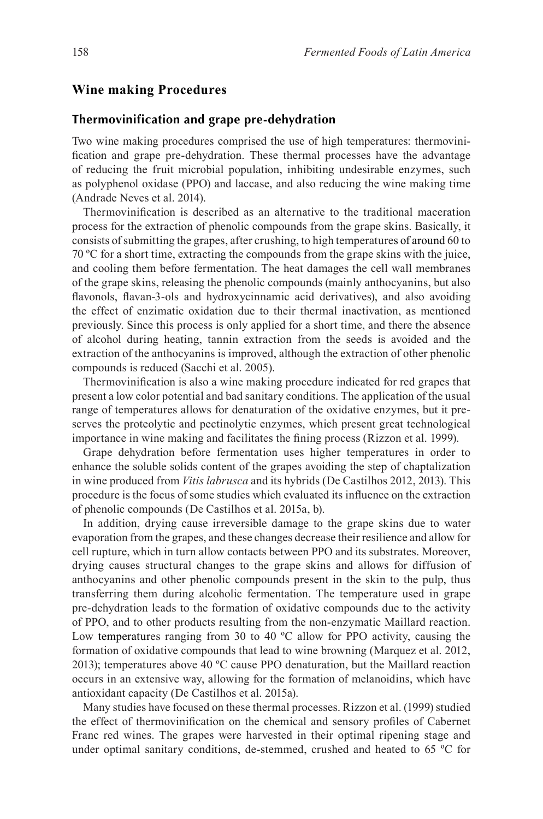# **Wine making Procedures**

#### **Thermovinification and grape pre-dehydration**

Two wine making procedures comprised the use of high temperatures: thermovinification and grape pre-dehydration. These thermal processes have the advantage of reducing the fruit microbial population, inhibiting undesirable enzymes, such as polyphenol oxidase (PPO) and laccase, and also reducing the wine making time (Andrade Neves et al. 2014).

Thermovinification is described as an alternative to the traditional maceration process for the extraction of phenolic compounds from the grape skins. Basically, it consists of submitting the grapes, after crushing, to high temperatures of around 60 to 70 ºC for a short time, extracting the compounds from the grape skins with the juice, and cooling them before fermentation. The heat damages the cell wall membranes of the grape skins, releasing the phenolic compounds (mainly anthocyanins, but also flavonols, flavan-3-ols and hydroxycinnamic acid derivatives), and also avoiding the effect of enzimatic oxidation due to their thermal inactivation, as mentioned previously. Since this process is only applied for a short time, and there the absence of alcohol during heating, tannin extraction from the seeds is avoided and the extraction of the anthocyanins is improved, although the extraction of other phenolic compounds is reduced (Sacchi et al. 2005).

Thermovinification is also a wine making procedure indicated for red grapes that present a low color potential and bad sanitary conditions. The application of the usual range of temperatures allows for denaturation of the oxidative enzymes, but it preserves the proteolytic and pectinolytic enzymes, which present great technological importance in wine making and facilitates the fining process (Rizzon et al. 1999).

Grape dehydration before fermentation uses higher temperatures in order to enhance the soluble solids content of the grapes avoiding the step of chaptalization in wine produced from *Vitis labrusca* and its hybrids (De Castilhos 2012, 2013). This procedure is the focus of some studies which evaluated its influence on the extraction of phenolic compounds (De Castilhos et al. 2015a, b).

In addition, drying cause irreversible damage to the grape skins due to water evaporation from the grapes, and these changes decrease their resilience and allow for cell rupture, which in turn allow contacts between PPO and its substrates. Moreover, drying causes structural changes to the grape skins and allows for diffusion of anthocyanins and other phenolic compounds present in the skin to the pulp, thus transferring them during alcoholic fermentation. The temperature used in grape pre-dehydration leads to the formation of oxidative compounds due to the activity of PPO, and to other products resulting from the non-enzymatic Maillard reaction. Low temperatures ranging from 30 to 40 ºC allow for PPO activity, causing the formation of oxidative compounds that lead to wine browning (Marquez et al. 2012, 2013); temperatures above 40 ºC cause PPO denaturation, but the Maillard reaction occurs in an extensive way, allowing for the formation of melanoidins, which have antioxidant capacity (De Castilhos et al. 2015a).

Many studies have focused on these thermal processes. Rizzon et al. (1999) studied the effect of thermovinification on the chemical and sensory profiles of Cabernet Franc red wines. The grapes were harvested in their optimal ripening stage and under optimal sanitary conditions, de-stemmed, crushed and heated to 65 ºC for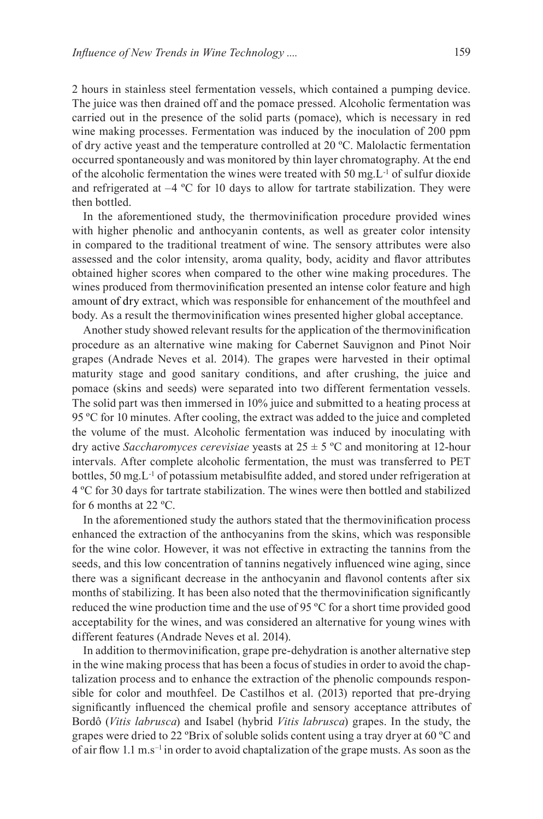2 hours in stainless steel fermentation vessels, which contained a pumping device. The juice was then drained off and the pomace pressed. Alcoholic fermentation was carried out in the presence of the solid parts (pomace), which is necessary in red wine making processes. Fermentation was induced by the inoculation of 200 ppm of dry active yeast and the temperature controlled at 20 ºC. Malolactic fermentation occurred spontaneously and was monitored by thin layer chromatography. At the end of the alcoholic fermentation the wines were treated with 50 mg.  $L^{-1}$  of sulfur dioxide and refrigerated at  $-4$  °C for 10 days to allow for tartrate stabilization. They were then bottled.

In the aforementioned study, the thermovinification procedure provided wines with higher phenolic and anthocyanin contents, as well as greater color intensity in compared to the traditional treatment of wine. The sensory attributes were also assessed and the color intensity, aroma quality, body, acidity and flavor attributes obtained higher scores when compared to the other wine making procedures. The wines produced from thermovinification presented an intense color feature and high amount of dry extract, which was responsible for enhancement of the mouthfeel and body. As a result the thermovinification wines presented higher global acceptance.

Another study showed relevant results for the application of the thermovinification procedure as an alternative wine making for Cabernet Sauvignon and Pinot Noir grapes (Andrade Neves et al. 2014). The grapes were harvested in their optimal maturity stage and good sanitary conditions, and after crushing, the juice and pomace (skins and seeds) were separated into two different fermentation vessels. The solid part was then immersed in 10% juice and submitted to a heating process at 95 ºC for 10 minutes. After cooling, the extract was added to the juice and completed the volume of the must. Alcoholic fermentation was induced by inoculating with dry active *Saccharomyces cerevisiae* yeasts at 25 ± 5 ºC and monitoring at 12-hour intervals. After complete alcoholic fermentation, the must was transferred to PET bottles,  $50 \text{ mg}$ . L<sup>-1</sup> of potassium metabisulfite added, and stored under refrigeration at 4 ºC for 30 days for tartrate stabilization. The wines were then bottled and stabilized for 6 months at 22 ºC.

In the aforementioned study the authors stated that the thermovinification process enhanced the extraction of the anthocyanins from the skins, which was responsible for the wine color. However, it was not effective in extracting the tannins from the seeds, and this low concentration of tannins negatively influenced wine aging, since there was a significant decrease in the anthocyanin and flavonol contents after six months of stabilizing. It has been also noted that the thermovinification significantly reduced the wine production time and the use of 95 ºC for a short time provided good acceptability for the wines, and was considered an alternative for young wines with different features (Andrade Neves et al. 2014).

In addition to thermovinification, grape pre-dehydration is another alternative step in the wine making process that has been a focus of studies in order to avoid the chaptalization process and to enhance the extraction of the phenolic compounds responsible for color and mouthfeel. De Castilhos et al. (2013) reported that pre-drying significantly influenced the chemical profile and sensory acceptance attributes of Bordô (*Vitis labrusca*) and Isabel (hybrid *Vitis labrusca*) grapes. In the study, the grapes were dried to 22 ºBrix of soluble solids content using a tray dryer at 60 ºC and of air flow 1.1 m.s–1 in order to avoid chaptalization of the grape musts. As soon as the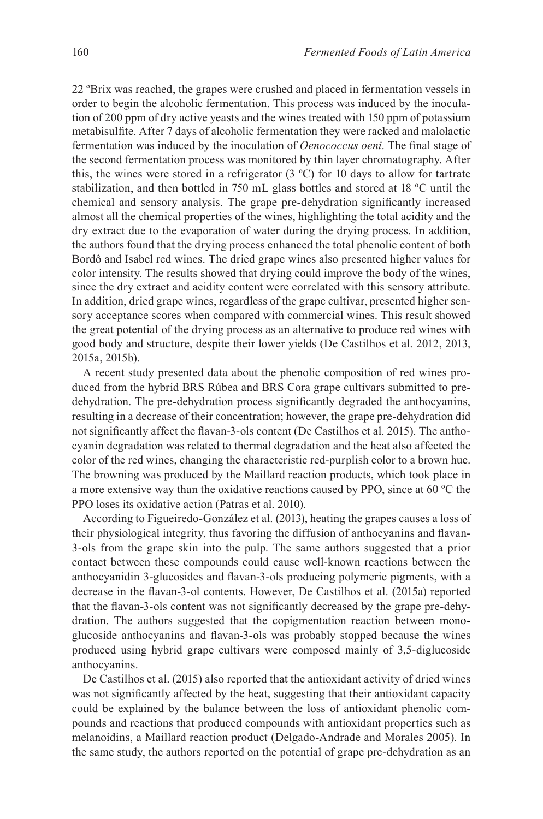22 ºBrix was reached, the grapes were crushed and placed in fermentation vessels in order to begin the alcoholic fermentation. This process was induced by the inoculation of 200 ppm of dry active yeasts and the wines treated with 150 ppm of potassium metabisulfite. After 7 days of alcoholic fermentation they were racked and malolactic fermentation was induced by the inoculation of *Oenococcus oeni*. The final stage of the second fermentation process was monitored by thin layer chromatography. After this, the wines were stored in a refrigerator (3 ºC) for 10 days to allow for tartrate stabilization, and then bottled in 750 mL glass bottles and stored at 18 ºC until the chemical and sensory analysis. The grape pre-dehydration significantly increased almost all the chemical properties of the wines, highlighting the total acidity and the dry extract due to the evaporation of water during the drying process. In addition, the authors found that the drying process enhanced the total phenolic content of both Bordô and Isabel red wines. The dried grape wines also presented higher values for color intensity. The results showed that drying could improve the body of the wines, since the dry extract and acidity content were correlated with this sensory attribute. In addition, dried grape wines, regardless of the grape cultivar, presented higher sensory acceptance scores when compared with commercial wines. This result showed the great potential of the drying process as an alternative to produce red wines with good body and structure, despite their lower yields (De Castilhos et al. 2012, 2013, 2015a, 2015b).

A recent study presented data about the phenolic composition of red wines produced from the hybrid BRS Rúbea and BRS Cora grape cultivars submitted to predehydration. The pre-dehydration process significantly degraded the anthocyanins, resulting in a decrease of their concentration; however, the grape pre-dehydration did not significantly affect the flavan-3-ols content (De Castilhos et al. 2015). The anthocyanin degradation was related to thermal degradation and the heat also affected the color of the red wines, changing the characteristic red-purplish color to a brown hue. The browning was produced by the Maillard reaction products, which took place in a more extensive way than the oxidative reactions caused by PPO, since at 60 ºC the PPO loses its oxidative action (Patras et al. 2010).

According to Figueiredo-González et al. (2013), heating the grapes causes a loss of their physiological integrity, thus favoring the diffusion of anthocyanins and flavan-3-ols from the grape skin into the pulp. The same authors suggested that a prior contact between these compounds could cause well-known reactions between the anthocyanidin 3-glucosides and flavan-3-ols producing polymeric pigments, with a decrease in the flavan-3-ol contents. However, De Castilhos et al. (2015a) reported that the flavan-3-ols content was not significantly decreased by the grape pre-dehydration. The authors suggested that the copigmentation reaction between monoglucoside anthocyanins and flavan-3-ols was probably stopped because the wines produced using hybrid grape cultivars were composed mainly of 3,5-diglucoside anthocyanins.

De Castilhos et al. (2015) also reported that the antioxidant activity of dried wines was not significantly affected by the heat, suggesting that their antioxidant capacity could be explained by the balance between the loss of antioxidant phenolic compounds and reactions that produced compounds with antioxidant properties such as melanoidins, a Maillard reaction product (Delgado-Andrade and Morales 2005). In the same study, the authors reported on the potential of grape pre-dehydration as an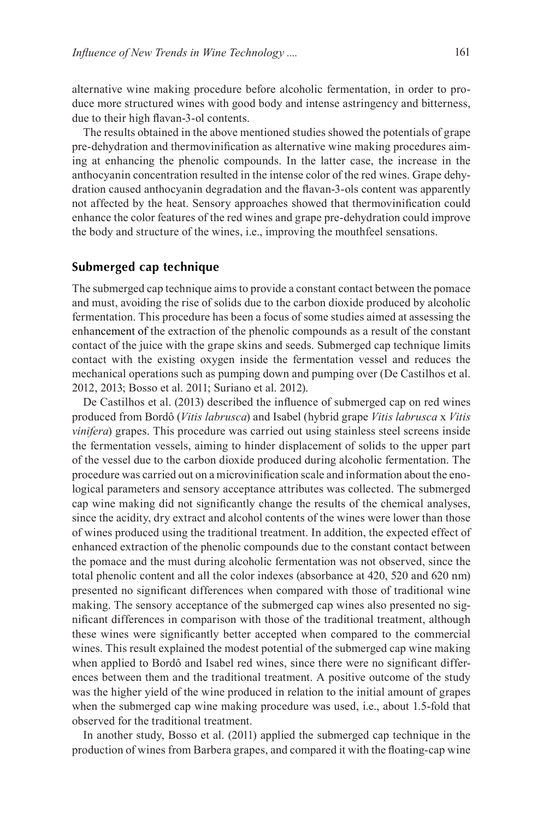alternative wine making procedure before alcoholic fermentation, in order to produce more structured wines with good body and intense astringency and bitterness, due to their high flavan-3-ol contents.

The results obtained in the above mentioned studies showed the potentials of grape pre-dehydration and thermovinification as alternative wine making procedures aiming at enhancing the phenolic compounds. In the latter case, the increase in the anthocyanin concentration resulted in the intense color of the red wines. Grape dehydration caused anthocyanin degradation and the flavan-3-ols content was apparently not affected by the heat. Sensory approaches showed that thermovinification could enhance the color features of the red wines and grape pre-dehydration could improve the body and structure of the wines, i.e., improving the mouthfeel sensations.

#### **Submerged cap technique**

The submerged cap technique aims to provide a constant contact between the pomace and must, avoiding the rise of solids due to the carbon dioxide produced by alcoholic fermentation. This procedure has been a focus of some studies aimed at assessing the enhancement of the extraction of the phenolic compounds as a result of the constant contact of the juice with the grape skins and seeds. Submerged cap technique limits contact with the existing oxygen inside the fermentation vessel and reduces the mechanical operations such as pumping down and pumping over (De Castilhos et al. 2012, 2013; Bosso et al. 2011; Suriano et al. 2012).

De Castilhos et al. (2013) described the influence of submerged cap on red wines produced from Bordô (*Vitis labrusca*) and Isabel (hybrid grape *Vitis labrusca* x *Vitis vinifera*) grapes. This procedure was carried out using stainless steel screens inside the fermentation vessels, aiming to hinder displacement of solids to the upper part of the vessel due to the carbon dioxide produced during alcoholic fermentation. The procedure was carried out on a microvinification scale and information about the enological parameters and sensory acceptance attributes was collected. The submerged cap wine making did not significantly change the results of the chemical analyses, since the acidity, dry extract and alcohol contents of the wines were lower than those of wines produced using the traditional treatment. In addition, the expected effect of enhanced extraction of the phenolic compounds due to the constant contact between the pomace and the must during alcoholic fermentation was not observed, since the total phenolic content and all the color indexes (absorbance at 420, 520 and 620 nm) presented no significant differences when compared with those of traditional wine making. The sensory acceptance of the submerged cap wines also presented no significant differences in comparison with those of the traditional treatment, although these wines were significantly better accepted when compared to the commercial wines. This result explained the modest potential of the submerged cap wine making when applied to Bordô and Isabel red wines, since there were no significant differences between them and the traditional treatment. A positive outcome of the study was the higher yield of the wine produced in relation to the initial amount of grapes when the submerged cap wine making procedure was used, i.e., about 1.5-fold that observed for the traditional treatment.

In another study, Bosso et al. (2011) applied the submerged cap technique in the production of wines from Barbera grapes, and compared it with the floating-cap wine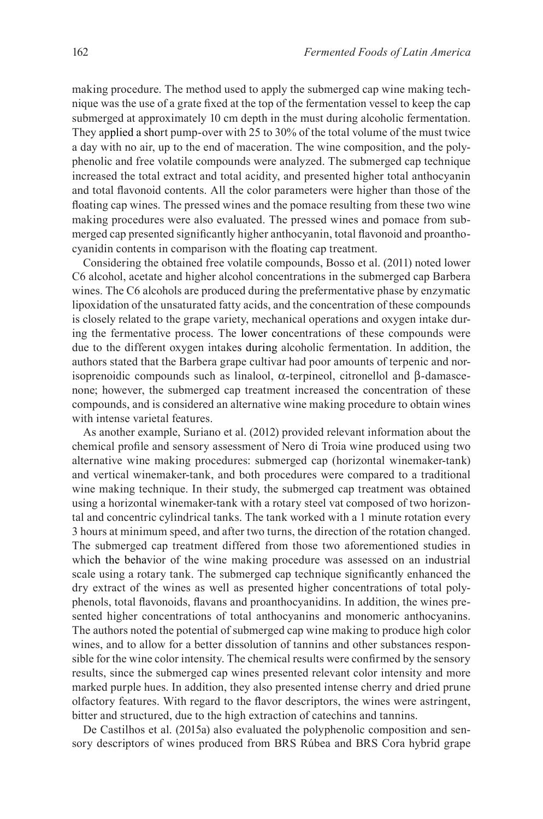making procedure. The method used to apply the submerged cap wine making technique was the use of a grate fixed at the top of the fermentation vessel to keep the cap submerged at approximately 10 cm depth in the must during alcoholic fermentation. They applied a short pump-over with 25 to 30% of the total volume of the must twice a day with no air, up to the end of maceration. The wine composition, and the polyphenolic and free volatile compounds were analyzed. The submerged cap technique increased the total extract and total acidity, and presented higher total anthocyanin and total flavonoid contents. All the color parameters were higher than those of the floating cap wines. The pressed wines and the pomace resulting from these two wine making procedures were also evaluated. The pressed wines and pomace from submerged cap presented significantly higher anthocyanin, total flavonoid and proanthocyanidin contents in comparison with the floating cap treatment.

Considering the obtained free volatile compounds, Bosso et al. (2011) noted lower C6 alcohol, acetate and higher alcohol concentrations in the submerged cap Barbera wines. The C6 alcohols are produced during the prefermentative phase by enzymatic lipoxidation of the unsaturated fatty acids, and the concentration of these compounds is closely related to the grape variety, mechanical operations and oxygen intake during the fermentative process. The lower concentrations of these compounds were due to the different oxygen intakes during alcoholic fermentation. In addition, the authors stated that the Barbera grape cultivar had poor amounts of terpenic and norisoprenoidic compounds such as linalool,  $\alpha$ -terpineol, citronellol and  $\beta$ -damascenone; however, the submerged cap treatment increased the concentration of these compounds, and is considered an alternative wine making procedure to obtain wines with intense varietal features.

As another example, Suriano et al. (2012) provided relevant information about the chemical profile and sensory assessment of Nero di Troia wine produced using two alternative wine making procedures: submerged cap (horizontal winemaker-tank) and vertical winemaker-tank, and both procedures were compared to a traditional wine making technique. In their study, the submerged cap treatment was obtained using a horizontal winemaker-tank with a rotary steel vat composed of two horizontal and concentric cylindrical tanks. The tank worked with a 1 minute rotation every 3 hours at minimum speed, and after two turns, the direction of the rotation changed. The submerged cap treatment differed from those two aforementioned studies in which the behavior of the wine making procedure was assessed on an industrial scale using a rotary tank. The submerged cap technique significantly enhanced the dry extract of the wines as well as presented higher concentrations of total polyphenols, total flavonoids, flavans and proanthocyanidins. In addition, the wines presented higher concentrations of total anthocyanins and monomeric anthocyanins. The authors noted the potential of submerged cap wine making to produce high color wines, and to allow for a better dissolution of tannins and other substances responsible for the wine color intensity. The chemical results were confirmed by the sensory results, since the submerged cap wines presented relevant color intensity and more marked purple hues. In addition, they also presented intense cherry and dried prune olfactory features. With regard to the flavor descriptors, the wines were astringent, bitter and structured, due to the high extraction of catechins and tannins.

De Castilhos et al. (2015a) also evaluated the polyphenolic composition and sensory descriptors of wines produced from BRS Rúbea and BRS Cora hybrid grape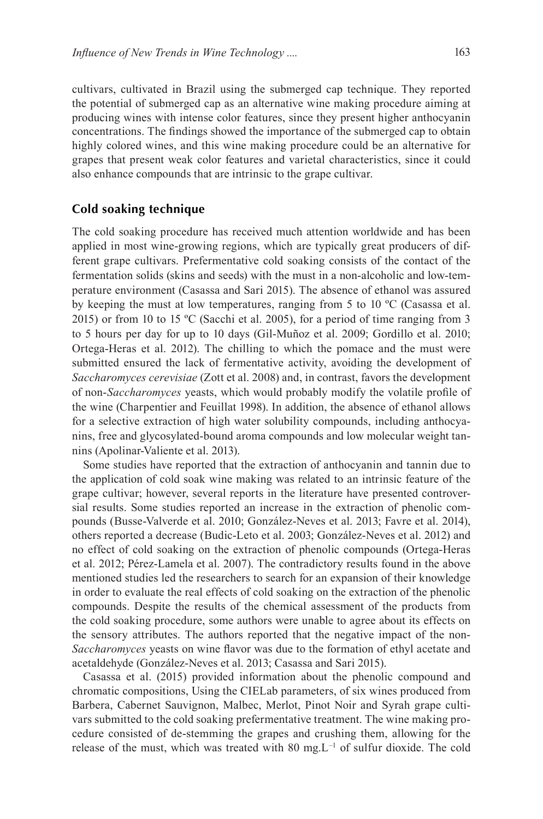cultivars, cultivated in Brazil using the submerged cap technique. They reported the potential of submerged cap as an alternative wine making procedure aiming at producing wines with intense color features, since they present higher anthocyanin concentrations. The findings showed the importance of the submerged cap to obtain highly colored wines, and this wine making procedure could be an alternative for grapes that present weak color features and varietal characteristics, since it could also enhance compounds that are intrinsic to the grape cultivar.

#### **Cold soaking technique**

The cold soaking procedure has received much attention worldwide and has been applied in most wine-growing regions, which are typically great producers of different grape cultivars. Prefermentative cold soaking consists of the contact of the fermentation solids (skins and seeds) with the must in a non-alcoholic and low-temperature environment (Casassa and Sari 2015). The absence of ethanol was assured by keeping the must at low temperatures, ranging from 5 to 10 ºC (Casassa et al. 2015) or from 10 to 15 °C (Sacchi et al. 2005), for a period of time ranging from 3 to 5 hours per day for up to 10 days (Gil-Muñoz et al. 2009; Gordillo et al. 2010; Ortega-Heras et al. 2012). The chilling to which the pomace and the must were submitted ensured the lack of fermentative activity, avoiding the development of *Saccharomyces cerevisiae* (Zott et al. 2008) and, in contrast, favors the development of non-*Saccharomyces* yeasts, which would probably modify the volatile profile of the wine (Charpentier and Feuillat 1998). In addition, the absence of ethanol allows for a selective extraction of high water solubility compounds, including anthocyanins, free and glycosylated-bound aroma compounds and low molecular weight tannins (Apolinar-Valiente et al. 2013).

Some studies have reported that the extraction of anthocyanin and tannin due to the application of cold soak wine making was related to an intrinsic feature of the grape cultivar; however, several reports in the literature have presented controversial results. Some studies reported an increase in the extraction of phenolic compounds (Busse-Valverde et al. 2010; González-Neves et al. 2013; Favre et al. 2014), others reported a decrease (Budic-Leto et al. 2003; González-Neves et al. 2012) and no effect of cold soaking on the extraction of phenolic compounds (Ortega-Heras et al. 2012; Pérez-Lamela et al. 2007). The contradictory results found in the above mentioned studies led the researchers to search for an expansion of their knowledge in order to evaluate the real effects of cold soaking on the extraction of the phenolic compounds. Despite the results of the chemical assessment of the products from the cold soaking procedure, some authors were unable to agree about its effects on the sensory attributes. The authors reported that the negative impact of the non-*Saccharomyces* yeasts on wine flavor was due to the formation of ethyl acetate and acetaldehyde (González-Neves et al. 2013; Casassa and Sari 2015).

Casassa et al. (2015) provided information about the phenolic compound and chromatic compositions, Using the CIELab parameters, of six wines produced from Barbera, Cabernet Sauvignon, Malbec, Merlot, Pinot Noir and Syrah grape cultivars submitted to the cold soaking prefermentative treatment. The wine making procedure consisted of de-stemming the grapes and crushing them, allowing for the release of the must, which was treated with 80 mg. $L^{-1}$  of sulfur dioxide. The cold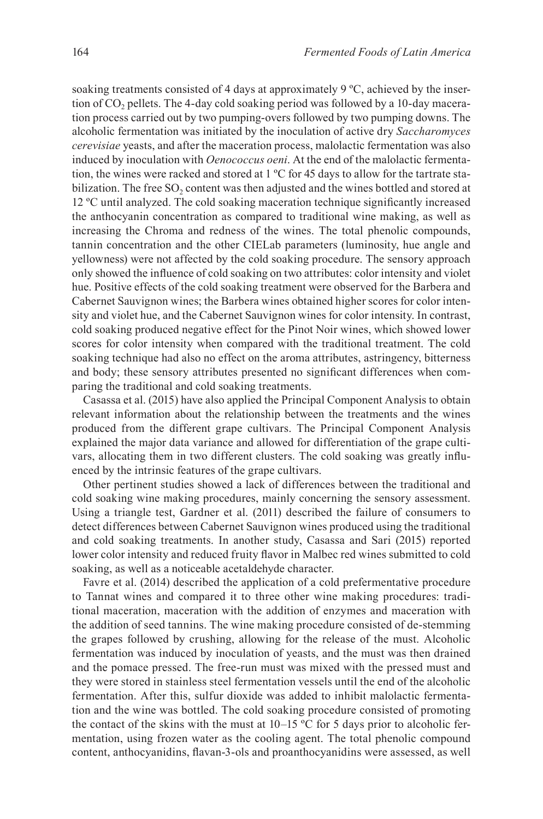soaking treatments consisted of 4 days at approximately 9 ºC, achieved by the insertion of CO<sub>2</sub> pellets. The 4-day cold soaking period was followed by a 10-day maceration process carried out by two pumping-overs followed by two pumping downs. The alcoholic fermentation was initiated by the inoculation of active dry *Saccharomyces cerevisiae* yeasts, and after the maceration process, malolactic fermentation was also induced by inoculation with *Oenococcus oeni*. At the end of the malolactic fermentation, the wines were racked and stored at 1 ºC for 45 days to allow for the tartrate stabilization. The free  $SO<sub>2</sub>$  content was then adjusted and the wines bottled and stored at 12 ºC until analyzed. The cold soaking maceration technique significantly increased the anthocyanin concentration as compared to traditional wine making, as well as increasing the Chroma and redness of the wines. The total phenolic compounds, tannin concentration and the other CIELab parameters (luminosity, hue angle and yellowness) were not affected by the cold soaking procedure. The sensory approach only showed the influence of cold soaking on two attributes: color intensity and violet hue. Positive effects of the cold soaking treatment were observed for the Barbera and Cabernet Sauvignon wines; the Barbera wines obtained higher scores for color intensity and violet hue, and the Cabernet Sauvignon wines for color intensity. In contrast, cold soaking produced negative effect for the Pinot Noir wines, which showed lower scores for color intensity when compared with the traditional treatment. The cold soaking technique had also no effect on the aroma attributes, astringency, bitterness and body; these sensory attributes presented no significant differences when comparing the traditional and cold soaking treatments.

Casassa et al. (2015) have also applied the Principal Component Analysis to obtain relevant information about the relationship between the treatments and the wines produced from the different grape cultivars. The Principal Component Analysis explained the major data variance and allowed for differentiation of the grape cultivars, allocating them in two different clusters. The cold soaking was greatly influenced by the intrinsic features of the grape cultivars.

Other pertinent studies showed a lack of differences between the traditional and cold soaking wine making procedures, mainly concerning the sensory assessment. Using a triangle test, Gardner et al. (2011) described the failure of consumers to detect differences between Cabernet Sauvignon wines produced using the traditional and cold soaking treatments. In another study, Casassa and Sari (2015) reported lower color intensity and reduced fruity flavor in Malbec red wines submitted to cold soaking, as well as a noticeable acetaldehyde character.

Favre et al. (2014) described the application of a cold prefermentative procedure to Tannat wines and compared it to three other wine making procedures: traditional maceration, maceration with the addition of enzymes and maceration with the addition of seed tannins. The wine making procedure consisted of de-stemming the grapes followed by crushing, allowing for the release of the must. Alcoholic fermentation was induced by inoculation of yeasts, and the must was then drained and the pomace pressed. The free-run must was mixed with the pressed must and they were stored in stainless steel fermentation vessels until the end of the alcoholic fermentation. After this, sulfur dioxide was added to inhibit malolactic fermentation and the wine was bottled. The cold soaking procedure consisted of promoting the contact of the skins with the must at  $10-15$  °C for 5 days prior to alcoholic fermentation, using frozen water as the cooling agent. The total phenolic compound content, anthocyanidins, flavan-3-ols and proanthocyanidins were assessed, as well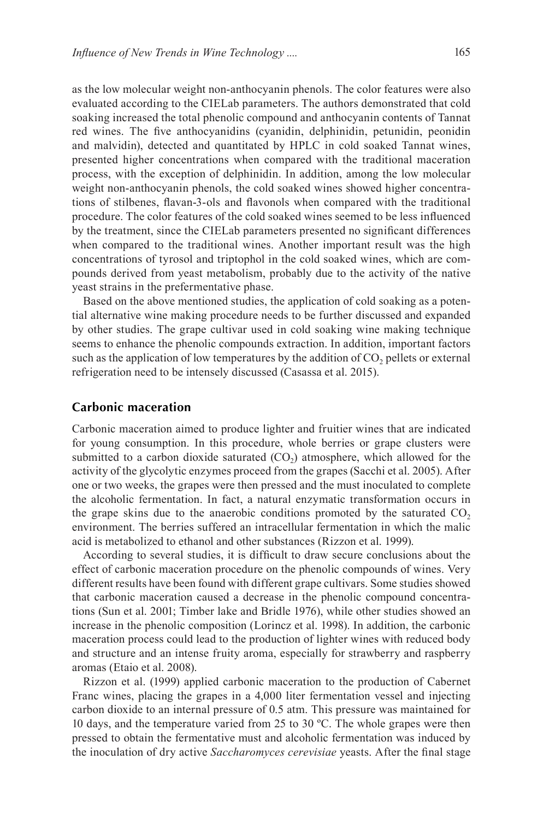as the low molecular weight non-anthocyanin phenols. The color features were also evaluated according to the CIELab parameters. The authors demonstrated that cold soaking increased the total phenolic compound and anthocyanin contents of Tannat red wines. The five anthocyanidins (cyanidin, delphinidin, petunidin, peonidin and malvidin), detected and quantitated by HPLC in cold soaked Tannat wines, presented higher concentrations when compared with the traditional maceration process, with the exception of delphinidin. In addition, among the low molecular weight non-anthocyanin phenols, the cold soaked wines showed higher concentrations of stilbenes, flavan-3-ols and flavonols when compared with the traditional procedure. The color features of the cold soaked wines seemed to be less influenced by the treatment, since the CIELab parameters presented no significant differences when compared to the traditional wines. Another important result was the high concentrations of tyrosol and triptophol in the cold soaked wines, which are compounds derived from yeast metabolism, probably due to the activity of the native yeast strains in the prefermentative phase.

Based on the above mentioned studies, the application of cold soaking as a potential alternative wine making procedure needs to be further discussed and expanded by other studies. The grape cultivar used in cold soaking wine making technique seems to enhance the phenolic compounds extraction. In addition, important factors such as the application of low temperatures by the addition of  $CO<sub>2</sub>$  pellets or external refrigeration need to be intensely discussed (Casassa et al. 2015).

# **Carbonic maceration**

Carbonic maceration aimed to produce lighter and fruitier wines that are indicated for young consumption. In this procedure, whole berries or grape clusters were submitted to a carbon dioxide saturated  $(CO<sub>2</sub>)$  atmosphere, which allowed for the activity of the glycolytic enzymes proceed from the grapes (Sacchi et al. 2005). After one or two weeks, the grapes were then pressed and the must inoculated to complete the alcoholic fermentation. In fact, a natural enzymatic transformation occurs in the grape skins due to the anaerobic conditions promoted by the saturated  $CO<sub>2</sub>$ environment. The berries suffered an intracellular fermentation in which the malic acid is metabolized to ethanol and other substances (Rizzon et al. 1999).

According to several studies, it is difficult to draw secure conclusions about the effect of carbonic maceration procedure on the phenolic compounds of wines. Very different results have been found with different grape cultivars. Some studies showed that carbonic maceration caused a decrease in the phenolic compound concentrations (Sun et al. 2001; Timber lake and Bridle 1976), while other studies showed an increase in the phenolic composition (Lorincz et al. 1998). In addition, the carbonic maceration process could lead to the production of lighter wines with reduced body and structure and an intense fruity aroma, especially for strawberry and raspberry aromas (Etaio et al. 2008).

Rizzon et al. (1999) applied carbonic maceration to the production of Cabernet Franc wines, placing the grapes in a 4,000 liter fermentation vessel and injecting carbon dioxide to an internal pressure of 0.5 atm. This pressure was maintained for 10 days, and the temperature varied from 25 to 30 ºC. The whole grapes were then pressed to obtain the fermentative must and alcoholic fermentation was induced by the inoculation of dry active *Saccharomyces cerevisiae* yeasts. After the final stage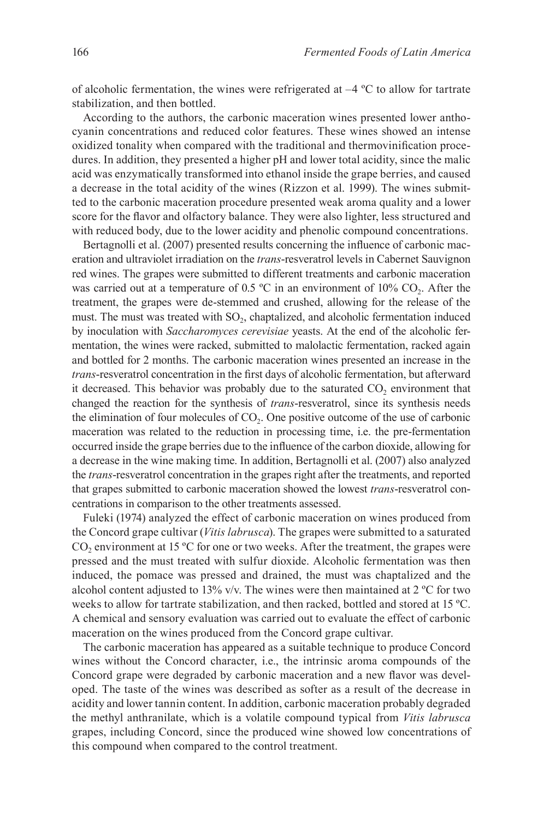of alcoholic fermentation, the wines were refrigerated at  $-4$  °C to allow for tartrate stabilization, and then bottled.

According to the authors, the carbonic maceration wines presented lower anthocyanin concentrations and reduced color features. These wines showed an intense oxidized tonality when compared with the traditional and thermovinification procedures. In addition, they presented a higher pH and lower total acidity, since the malic acid was enzymatically transformed into ethanol inside the grape berries, and caused a decrease in the total acidity of the wines (Rizzon et al. 1999). The wines submitted to the carbonic maceration procedure presented weak aroma quality and a lower score for the flavor and olfactory balance. They were also lighter, less structured and with reduced body, due to the lower acidity and phenolic compound concentrations.

Bertagnolli et al. (2007) presented results concerning the influence of carbonic maceration and ultraviolet irradiation on the *trans*-resveratrol levels in Cabernet Sauvignon red wines. The grapes were submitted to different treatments and carbonic maceration was carried out at a temperature of  $0.5 \degree C$  in an environment of  $10\%$  CO<sub>2</sub>. After the treatment, the grapes were de-stemmed and crushed, allowing for the release of the must. The must was treated with  $SO_2$ , chaptalized, and alcoholic fermentation induced by inoculation with *Saccharomyces cerevisiae* yeasts. At the end of the alcoholic fermentation, the wines were racked, submitted to malolactic fermentation, racked again and bottled for 2 months. The carbonic maceration wines presented an increase in the *trans*-resveratrol concentration in the first days of alcoholic fermentation, but afterward it decreased. This behavior was probably due to the saturated  $CO<sub>2</sub>$  environment that changed the reaction for the synthesis of *trans*-resveratrol, since its synthesis needs the elimination of four molecules of  $CO<sub>2</sub>$ . One positive outcome of the use of carbonic maceration was related to the reduction in processing time, i.e. the pre-fermentation occurred inside the grape berries due to the influence of the carbon dioxide, allowing for a decrease in the wine making time. In addition, Bertagnolli et al. (2007) also analyzed the *trans*-resveratrol concentration in the grapes right after the treatments, and reported that grapes submitted to carbonic maceration showed the lowest *trans*-resveratrol concentrations in comparison to the other treatments assessed.

Fuleki (1974) analyzed the effect of carbonic maceration on wines produced from the Concord grape cultivar (*Vitis labrusca*). The grapes were submitted to a saturated  $CO<sub>2</sub>$  environment at 15 °C for one or two weeks. After the treatment, the grapes were pressed and the must treated with sulfur dioxide. Alcoholic fermentation was then induced, the pomace was pressed and drained, the must was chaptalized and the alcohol content adjusted to 13% v/v. The wines were then maintained at 2  $^{\circ}$ C for two weeks to allow for tartrate stabilization, and then racked, bottled and stored at 15 ºC. A chemical and sensory evaluation was carried out to evaluate the effect of carbonic maceration on the wines produced from the Concord grape cultivar.

The carbonic maceration has appeared as a suitable technique to produce Concord wines without the Concord character, i.e., the intrinsic aroma compounds of the Concord grape were degraded by carbonic maceration and a new flavor was developed. The taste of the wines was described as softer as a result of the decrease in acidity and lower tannin content. In addition, carbonic maceration probably degraded the methyl anthranilate, which is a volatile compound typical from *Vitis labrusca* grapes, including Concord, since the produced wine showed low concentrations of this compound when compared to the control treatment.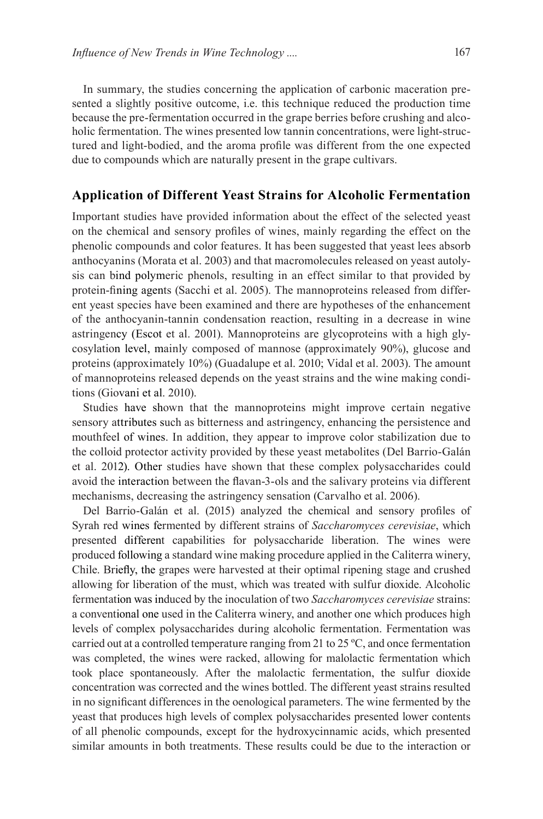In summary, the studies concerning the application of carbonic maceration presented a slightly positive outcome, i.e. this technique reduced the production time because the pre-fermentation occurred in the grape berries before crushing and alcoholic fermentation. The wines presented low tannin concentrations, were light-structured and light-bodied, and the aroma profile was different from the one expected due to compounds which are naturally present in the grape cultivars.

# **Application of Different Yeast Strains for Alcoholic Fermentation**

Important studies have provided information about the effect of the selected yeast on the chemical and sensory profiles of wines, mainly regarding the effect on the phenolic compounds and color features. It has been suggested that yeast lees absorb anthocyanins (Morata et al. 2003) and that macromolecules released on yeast autolysis can bind polymeric phenols, resulting in an effect similar to that provided by protein-fining agents (Sacchi et al. 2005). The mannoproteins released from different yeast species have been examined and there are hypotheses of the enhancement of the anthocyanin-tannin condensation reaction, resulting in a decrease in wine astringency (Escot et al. 2001). Mannoproteins are glycoproteins with a high glycosylation level, mainly composed of mannose (approximately 90%), glucose and proteins (approximately 10%) (Guadalupe et al. 2010; Vidal et al. 2003). The amount of mannoproteins released depends on the yeast strains and the wine making conditions (Giovani et al. 2010).

Studies have shown that the mannoproteins might improve certain negative sensory attributes such as bitterness and astringency, enhancing the persistence and mouthfeel of wines. In addition, they appear to improve color stabilization due to the colloid protector activity provided by these yeast metabolites (Del Barrio-Galán et al. 2012). Other studies have shown that these complex polysaccharides could avoid the interaction between the flavan-3-ols and the salivary proteins via different mechanisms, decreasing the astringency sensation (Carvalho et al. 2006).

Del Barrio-Galán et al. (2015) analyzed the chemical and sensory profiles of Syrah red wines fermented by different strains of *Saccharomyces cerevisiae*, which presented different capabilities for polysaccharide liberation. The wines were produced following a standard wine making procedure applied in the Caliterra winery, Chile. Briefly, the grapes were harvested at their optimal ripening stage and crushed allowing for liberation of the must, which was treated with sulfur dioxide. Alcoholic fermentation was induced by the inoculation of two *Saccharomyces cerevisiae* strains: a conventional one used in the Caliterra winery, and another one which produces high levels of complex polysaccharides during alcoholic fermentation. Fermentation was carried out at a controlled temperature ranging from 21 to 25 ºC, and once fermentation was completed, the wines were racked, allowing for malolactic fermentation which took place spontaneously. After the malolactic fermentation, the sulfur dioxide concentration was corrected and the wines bottled. The different yeast strains resulted in no significant differences in the oenological parameters. The wine fermented by the yeast that produces high levels of complex polysaccharides presented lower contents of all phenolic compounds, except for the hydroxycinnamic acids, which presented similar amounts in both treatments. These results could be due to the interaction or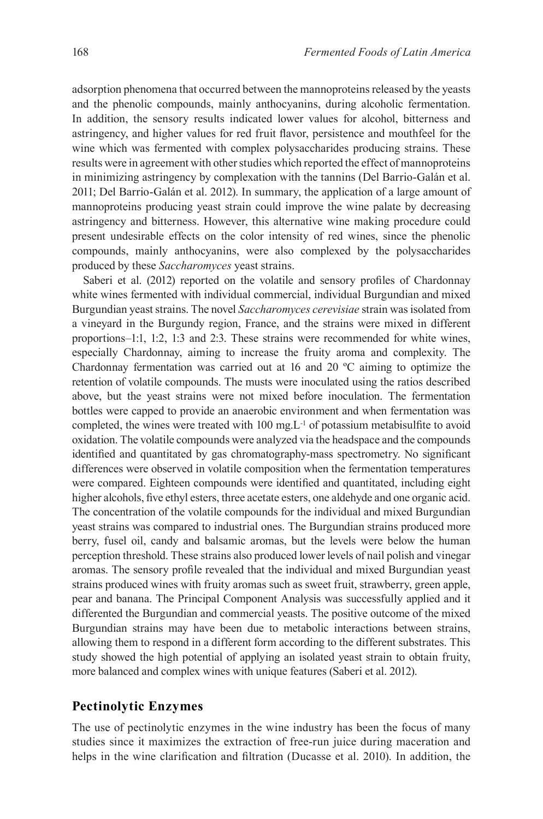adsorption phenomena that occurred between the mannoproteins released by the yeasts and the phenolic compounds, mainly anthocyanins, during alcoholic fermentation. In addition, the sensory results indicated lower values for alcohol, bitterness and astringency, and higher values for red fruit flavor, persistence and mouthfeel for the wine which was fermented with complex polysaccharides producing strains. These results were in agreement with other studies which reported the effect of mannoproteins in minimizing astringency by complexation with the tannins (Del Barrio-Galán et al. 2011; Del Barrio-Galán et al. 2012). In summary, the application of a large amount of mannoproteins producing yeast strain could improve the wine palate by decreasing astringency and bitterness. However, this alternative wine making procedure could present undesirable effects on the color intensity of red wines, since the phenolic compounds, mainly anthocyanins, were also complexed by the polysaccharides produced by these *Saccharomyces* yeast strains.

Saberi et al. (2012) reported on the volatile and sensory profiles of Chardonnay white wines fermented with individual commercial, individual Burgundian and mixed Burgundian yeast strains. The novel *Saccharomyces cerevisiae* strain was isolated from a vineyard in the Burgundy region, France, and the strains were mixed in different proportions–1:1, 1:2, 1:3 and 2:3. These strains were recommended for white wines, especially Chardonnay, aiming to increase the fruity aroma and complexity. The Chardonnay fermentation was carried out at 16 and 20 ºC aiming to optimize the retention of volatile compounds. The musts were inoculated using the ratios described above, but the yeast strains were not mixed before inoculation. The fermentation bottles were capped to provide an anaerobic environment and when fermentation was completed, the wines were treated with  $100 \text{ mg}$ .L<sup>-1</sup> of potassium metabisulfite to avoid oxidation. The volatile compounds were analyzed via the headspace and the compounds identified and quantitated by gas chromatography-mass spectrometry. No significant differences were observed in volatile composition when the fermentation temperatures were compared. Eighteen compounds were identified and quantitated, including eight higher alcohols, five ethyl esters, three acetate esters, one aldehyde and one organic acid. The concentration of the volatile compounds for the individual and mixed Burgundian yeast strains was compared to industrial ones. The Burgundian strains produced more berry, fusel oil, candy and balsamic aromas, but the levels were below the human perception threshold. These strains also produced lower levels of nail polish and vinegar aromas. The sensory profile revealed that the individual and mixed Burgundian yeast strains produced wines with fruity aromas such as sweet fruit, strawberry, green apple, pear and banana. The Principal Component Analysis was successfully applied and it differented the Burgundian and commercial yeasts. The positive outcome of the mixed Burgundian strains may have been due to metabolic interactions between strains, allowing them to respond in a different form according to the different substrates. This study showed the high potential of applying an isolated yeast strain to obtain fruity, more balanced and complex wines with unique features (Saberi et al. 2012).

#### **Pectinolytic Enzymes**

The use of pectinolytic enzymes in the wine industry has been the focus of many studies since it maximizes the extraction of free-run juice during maceration and helps in the wine clarification and filtration (Ducasse et al. 2010). In addition, the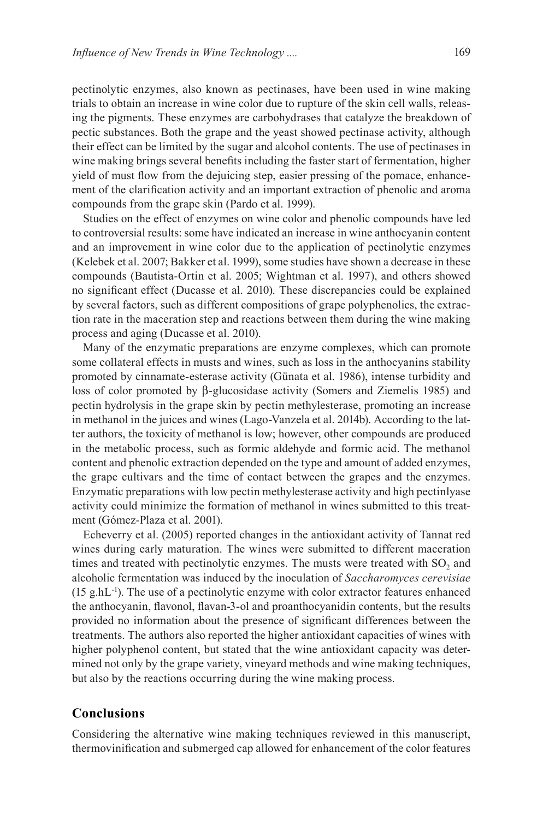pectinolytic enzymes, also known as pectinases, have been used in wine making trials to obtain an increase in wine color due to rupture of the skin cell walls, releasing the pigments. These enzymes are carbohydrases that catalyze the breakdown of pectic substances. Both the grape and the yeast showed pectinase activity, although their effect can be limited by the sugar and alcohol contents. The use of pectinases in wine making brings several benefits including the faster start of fermentation, higher yield of must flow from the dejuicing step, easier pressing of the pomace, enhancement of the clarification activity and an important extraction of phenolic and aroma compounds from the grape skin (Pardo et al. 1999).

Studies on the effect of enzymes on wine color and phenolic compounds have led to controversial results: some have indicated an increase in wine anthocyanin content and an improvement in wine color due to the application of pectinolytic enzymes (Kelebek et al. 2007; Bakker et al. 1999), some studies have shown a decrease in these compounds (Bautista-Ortin et al. 2005; Wightman et al. 1997), and others showed no significant effect (Ducasse et al. 2010). These discrepancies could be explained by several factors, such as different compositions of grape polyphenolics, the extraction rate in the maceration step and reactions between them during the wine making process and aging (Ducasse et al. 2010).

Many of the enzymatic preparations are enzyme complexes, which can promote some collateral effects in musts and wines, such as loss in the anthocyanins stability promoted by cinnamate-esterase activity (Günata et al. 1986), intense turbidity and loss of color promoted by  $\beta$ -glucosidase activity (Somers and Ziemelis 1985) and pectin hydrolysis in the grape skin by pectin methylesterase, promoting an increase in methanol in the juices and wines (Lago-Vanzela et al. 2014b). According to the latter authors, the toxicity of methanol is low; however, other compounds are produced in the metabolic process, such as formic aldehyde and formic acid. The methanol content and phenolic extraction depended on the type and amount of added enzymes, the grape cultivars and the time of contact between the grapes and the enzymes. Enzymatic preparations with low pectin methylesterase activity and high pectinlyase activity could minimize the formation of methanol in wines submitted to this treatment (Gómez-Plaza et al. 2001).

Echeverry et al. (2005) reported changes in the antioxidant activity of Tannat red wines during early maturation. The wines were submitted to different maceration times and treated with pectinolytic enzymes. The musts were treated with  $SO<sub>2</sub>$  and alcoholic fermentation was induced by the inoculation of *Saccharomyces cerevisiae* (15 g.hL-1). The use of a pectinolytic enzyme with color extractor features enhanced the anthocyanin, flavonol, flavan-3-ol and proanthocyanidin contents, but the results provided no information about the presence of significant differences between the treatments. The authors also reported the higher antioxidant capacities of wines with higher polyphenol content, but stated that the wine antioxidant capacity was determined not only by the grape variety, vineyard methods and wine making techniques, but also by the reactions occurring during the wine making process.

#### **Conclusions**

Considering the alternative wine making techniques reviewed in this manuscript, thermovinification and submerged cap allowed for enhancement of the color features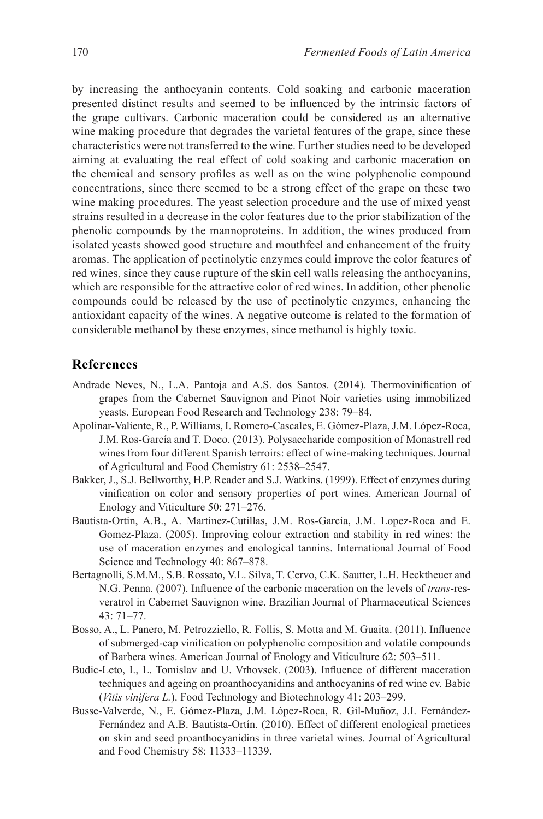by increasing the anthocyanin contents. Cold soaking and carbonic maceration presented distinct results and seemed to be influenced by the intrinsic factors of the grape cultivars. Carbonic maceration could be considered as an alternative wine making procedure that degrades the varietal features of the grape, since these characteristics were not transferred to the wine. Further studies need to be developed aiming at evaluating the real effect of cold soaking and carbonic maceration on the chemical and sensory profiles as well as on the wine polyphenolic compound concentrations, since there seemed to be a strong effect of the grape on these two wine making procedures. The yeast selection procedure and the use of mixed yeast strains resulted in a decrease in the color features due to the prior stabilization of the phenolic compounds by the mannoproteins. In addition, the wines produced from isolated yeasts showed good structure and mouthfeel and enhancement of the fruity aromas. The application of pectinolytic enzymes could improve the color features of red wines, since they cause rupture of the skin cell walls releasing the anthocyanins, which are responsible for the attractive color of red wines. In addition, other phenolic compounds could be released by the use of pectinolytic enzymes, enhancing the antioxidant capacity of the wines. A negative outcome is related to the formation of considerable methanol by these enzymes, since methanol is highly toxic.

# **References**

- Andrade Neves, N., L.A. Pantoja and A.S. dos Santos. (2014). Thermovinification of grapes from the Cabernet Sauvignon and Pinot Noir varieties using immobilized yeasts. European Food Research and Technology 238: 79–84.
- Apolinar-Valiente, R., P. Williams, I. Romero-Cascales, E. Gómez-Plaza, J.M. López-Roca, J.M. Ros-García and T. Doco. (2013). Polysaccharide composition of Monastrell red wines from four different Spanish terroirs: effect of wine-making techniques. Journal of Agricultural and Food Chemistry 61: 2538–2547.
- Bakker, J., S.J. Bellworthy, H.P. Reader and S.J. Watkins. (1999). Effect of enzymes during vinification on color and sensory properties of port wines. American Journal of Enology and Viticulture 50: 271–276.
- Bautista-Ortin, A.B., A. Martinez-Cutillas, J.M. Ros-Garcia, J.M. Lopez-Roca and E. Gomez-Plaza. (2005). Improving colour extraction and stability in red wines: the use of maceration enzymes and enological tannins. International Journal of Food Science and Technology 40: 867–878.
- Bertagnolli, S.M.M., S.B. Rossato, V.L. Silva, T. Cervo, C.K. Sautter, L.H. Hecktheuer and N.G. Penna. (2007). Influence of the carbonic maceration on the levels of *trans*-resveratrol in Cabernet Sauvignon wine. Brazilian Journal of Pharmaceutical Sciences 43: 71–77.
- Bosso, A., L. Panero, M. Petrozziello, R. Follis, S. Motta and M. Guaita. (2011). Influence of submerged-cap vinification on polyphenolic composition and volatile compounds of Barbera wines. American Journal of Enology and Viticulture 62: 503–511.
- Budic-Leto, I., L. Tomislav and U. Vrhovsek. (2003). Influence of different maceration techniques and ageing on proanthocyanidins and anthocyanins of red wine cv. Babic (*Vitis vinifera L.*). Food Technology and Biotechnology 41: 203–299.
- Busse-Valverde, N., E. Gómez-Plaza, J.M. López-Roca, R. Gil-Muñoz, J.I. Fernández-Fernández and A.B. Bautista-Ortín. (2010). Effect of different enological practices on skin and seed proanthocyanidins in three varietal wines. Journal of Agricultural and Food Chemistry 58: 11333–11339.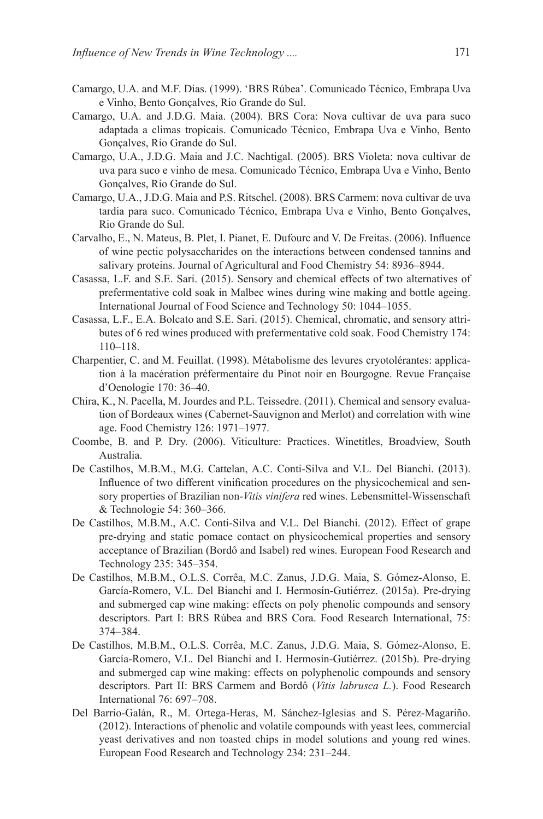- Camargo, U.A. and M.F. Dias. (1999). 'BRS Rúbea'. Comunicado Técnico, Embrapa Uva e Vinho, Bento Gonçalves, Rio Grande do Sul.
- Camargo, U.A. and J.D.G. Maia. (2004). BRS Cora: Nova cultivar de uva para suco adaptada a climas tropicais. Comunicado Técnico, Embrapa Uva e Vinho, Bento Gonçalves, Rio Grande do Sul.
- Camargo, U.A., J.D.G. Maia and J.C. Nachtigal. (2005). BRS Violeta: nova cultivar de uva para suco e vinho de mesa. Comunicado Técnico, Embrapa Uva e Vinho, Bento Gonçalves, Rio Grande do Sul.
- Camargo, U.A., J.D.G. Maia and P.S. Ritschel. (2008). BRS Carmem: nova cultivar de uva tardia para suco. Comunicado Técnico, Embrapa Uva e Vinho, Bento Gonçalves, Rio Grande do Sul.
- Carvalho, E., N. Mateus, B. Plet, I. Pianet, E. Dufourc and V. De Freitas. (2006). Influence of wine pectic polysaccharides on the interactions between condensed tannins and salivary proteins. Journal of Agricultural and Food Chemistry 54: 8936–8944.
- Casassa, L.F. and S.E. Sari. (2015). Sensory and chemical effects of two alternatives of prefermentative cold soak in Malbec wines during wine making and bottle ageing. International Journal of Food Science and Technology 50: 1044–1055.
- Casassa, L.F., E.A. Bolcato and S.E. Sari. (2015). Chemical, chromatic, and sensory attributes of 6 red wines produced with prefermentative cold soak. Food Chemistry 174: 110–118.
- Charpentier, C. and M. Feuillat. (1998). Métabolisme des levures cryotolérantes: application à la macération préfermentaire du Pinot noir en Bourgogne. Revue Française d'Oenologie 170: 36–40.
- Chira, K., N. Pacella, M. Jourdes and P.L. Teissedre. (2011). Chemical and sensory evaluation of Bordeaux wines (Cabernet-Sauvignon and Merlot) and correlation with wine age. Food Chemistry 126: 1971–1977.
- Coombe, B. and P. Dry. (2006). Viticulture: Practices. Winetitles, Broadview, South Australia.
- De Castilhos, M.B.M., M.G. Cattelan, A.C. Conti-Silva and V.L. Del Bianchi. (2013). Influence of two different vinification procedures on the physicochemical and sensory properties of Brazilian non-*Vitis vinifera* red wines. Lebensmittel-Wissenschaft & Technologie 54: 360–366.
- De Castilhos, M.B.M., A.C. Conti-Silva and V.L. Del Bianchi. (2012). Effect of grape pre-drying and static pomace contact on physicochemical properties and sensory acceptance of Brazilian (Bordô and Isabel) red wines. European Food Research and Technology 235: 345–354.
- De Castilhos, M.B.M., O.L.S. Corrêa, M.C. Zanus, J.D.G. Maia, S. Gómez-Alonso, E. García-Romero, V.L. Del Bianchi and I. Hermosín-Gutiérrez. (2015a). Pre-drying and submerged cap wine making: effects on poly phenolic compounds and sensory descriptors. Part I: BRS Rúbea and BRS Cora. Food Research International, 75: 374–384.
- De Castilhos, M.B.M., O.L.S. Corrêa, M.C. Zanus, J.D.G. Maia, S. Gómez-Alonso, E. García-Romero, V.L. Del Bianchi and I. Hermosín-Gutiérrez. (2015b). Pre-drying and submerged cap wine making: effects on polyphenolic compounds and sensory descriptors. Part II: BRS Carmem and Bordô (*Vitis labrusca L.*). Food Research International 76: 697–708.
- Del Barrio-Galán, R., M. Ortega-Heras, M. Sánchez-Iglesias and S. Pérez-Magariño. (2012). Interactions of phenolic and volatile compounds with yeast lees, commercial yeast derivatives and non toasted chips in model solutions and young red wines. European Food Research and Technology 234: 231–244.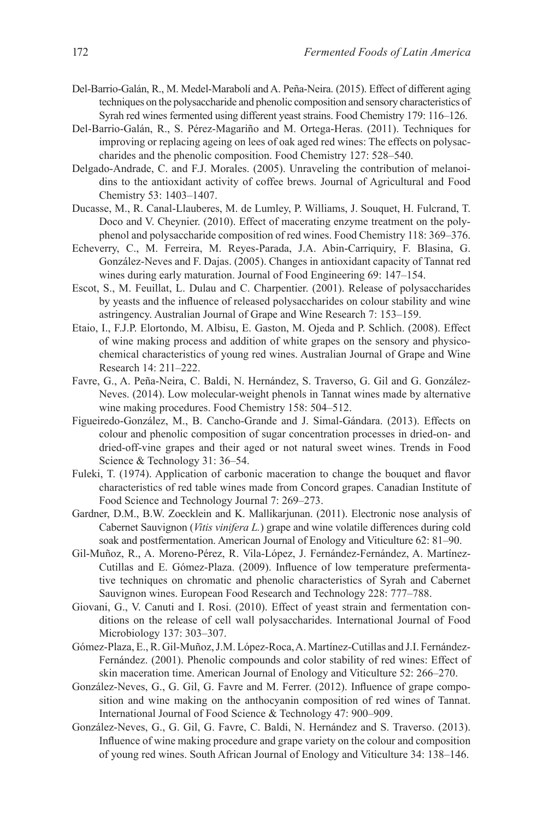- Del-Barrio-Galán, R., M. Medel-Marabolí and A. Peña-Neira. (2015). Effect of different aging techniques on the polysaccharide and phenolic composition and sensory characteristics of Syrah red wines fermented using different yeast strains. Food Chemistry 179: 116–126.
- Del-Barrio-Galán, R., S. Pérez-Magariño and M. Ortega-Heras. (2011). Techniques for improving or replacing ageing on lees of oak aged red wines: The effects on polysaccharides and the phenolic composition. Food Chemistry 127: 528–540.
- Delgado-Andrade, C. and F.J. Morales. (2005). Unraveling the contribution of melanoidins to the antioxidant activity of coffee brews. Journal of Agricultural and Food Chemistry 53: 1403–1407.
- Ducasse, M., R. Canal-Llauberes, M. de Lumley, P. Williams, J. Souquet, H. Fulcrand, T. Doco and V. Cheynier. (2010). Effect of macerating enzyme treatment on the polyphenol and polysaccharide composition of red wines. Food Chemistry 118: 369–376.
- Echeverry, C., M. Ferreira, M. Reyes-Parada, J.A. Abin-Carriquiry, F. Blasina, G. González-Neves and F. Dajas. (2005). Changes in antioxidant capacity of Tannat red wines during early maturation. Journal of Food Engineering 69: 147–154.
- Escot, S., M. Feuillat, L. Dulau and C. Charpentier. (2001). Release of polysaccharides by yeasts and the influence of released polysaccharides on colour stability and wine astringency. Australian Journal of Grape and Wine Research 7: 153–159.
- Etaio, I., F.J.P. Elortondo, M. Albisu, E. Gaston, M. Ojeda and P. Schlich. (2008). Effect of wine making process and addition of white grapes on the sensory and physicochemical characteristics of young red wines. Australian Journal of Grape and Wine Research 14: 211–222.
- Favre, G., A. Peña-Neira, C. Baldi, N. Hernández, S. Traverso, G. Gil and G. González-Neves. (2014). Low molecular-weight phenols in Tannat wines made by alternative wine making procedures. Food Chemistry 158: 504–512.
- Figueiredo-González, M., B. Cancho-Grande and J. Simal-Gándara. (2013). Effects on colour and phenolic composition of sugar concentration processes in dried-on- and dried-off-vine grapes and their aged or not natural sweet wines. Trends in Food Science & Technology 31: 36–54.
- Fuleki, T. (1974). Application of carbonic maceration to change the bouquet and flavor characteristics of red table wines made from Concord grapes. Canadian Institute of Food Science and Technology Journal 7: 269–273.
- Gardner, D.M., B.W. Zoecklein and K. Mallikarjunan. (2011). Electronic nose analysis of Cabernet Sauvignon (*Vitis vinifera L.*) grape and wine volatile differences during cold soak and postfermentation. American Journal of Enology and Viticulture 62: 81–90.
- Gil-Muñoz, R., A. Moreno-Pérez, R. Vila-López, J. Fernández-Fernández, A. Martínez-Cutillas and E. Gómez-Plaza. (2009). Influence of low temperature prefermentative techniques on chromatic and phenolic characteristics of Syrah and Cabernet Sauvignon wines. European Food Research and Technology 228: 777–788.
- Giovani, G., V. Canuti and I. Rosi. (2010). Effect of yeast strain and fermentation conditions on the release of cell wall polysaccharides. International Journal of Food Microbiology 137: 303–307.
- Gómez-Plaza, E., R. Gil-Muñoz, J.M. López-Roca, A. Martínez-Cutillas and J.I. Fernández-Fernández. (2001). Phenolic compounds and color stability of red wines: Effect of skin maceration time. American Journal of Enology and Viticulture 52: 266–270.
- González-Neves, G., G. Gil, G. Favre and M. Ferrer. (2012). Influence of grape composition and wine making on the anthocyanin composition of red wines of Tannat. International Journal of Food Science & Technology 47: 900–909.
- González-Neves, G., G. Gil, G. Favre, C. Baldi, N. Hernández and S. Traverso. (2013). Influence of wine making procedure and grape variety on the colour and composition of young red wines. South African Journal of Enology and Viticulture 34: 138–146.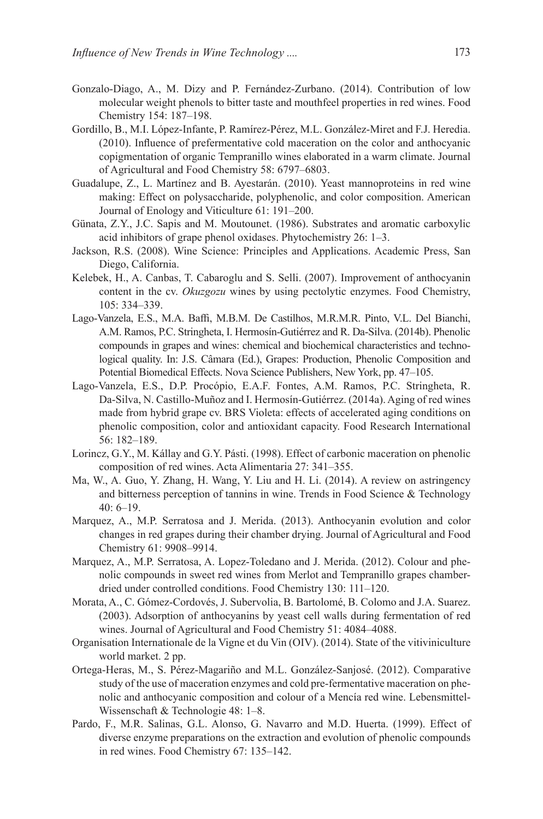- Gonzalo-Diago, A., M. Dizy and P. Fernández-Zurbano. (2014). Contribution of low molecular weight phenols to bitter taste and mouthfeel properties in red wines. Food Chemistry 154: 187–198.
- Gordillo, B., M.I. López-Infante, P. Ramírez-Pérez, M.L. González-Miret and F.J. Heredia. (2010). Influence of prefermentative cold maceration on the color and anthocyanic copigmentation of organic Tempranillo wines elaborated in a warm climate. Journal of Agricultural and Food Chemistry 58: 6797–6803.
- Guadalupe, Z., L. Martínez and B. Ayestarán. (2010). Yeast mannoproteins in red wine making: Effect on polysaccharide, polyphenolic, and color composition. American Journal of Enology and Viticulture 61: 191–200.
- Günata, Z.Y., J.C. Sapis and M. Moutounet. (1986). Substrates and aromatic carboxylic acid inhibitors of grape phenol oxidases. Phytochemistry 26: 1–3.
- Jackson, R.S. (2008). Wine Science: Principles and Applications. Academic Press, San Diego, California.
- Kelebek, H., A. Canbas, T. Cabaroglu and S. Selli. (2007). Improvement of anthocyanin content in the cv. *Okuzgozu* wines by using pectolytic enzymes. Food Chemistry, 105: 334–339.
- Lago-Vanzela, E.S., M.A. Baffi, M.B.M. De Castilhos, M.R.M.R. Pinto, V.L. Del Bianchi, A.M. Ramos, P.C. Stringheta, I. Hermosín-Gutiérrez and R. Da-Silva. (2014b). Phenolic compounds in grapes and wines: chemical and biochemical characteristics and technological quality. In: J.S. Câmara (Ed.), Grapes: Production, Phenolic Composition and Potential Biomedical Effects. Nova Science Publishers, New York, pp. 47–105.
- Lago-Vanzela, E.S., D.P. Procópio, E.A.F. Fontes, A.M. Ramos, P.C. Stringheta, R. Da-Silva, N. Castillo-Muñoz and I. Hermosín-Gutiérrez. (2014a). Aging of red wines made from hybrid grape cv. BRS Violeta: effects of accelerated aging conditions on phenolic composition, color and antioxidant capacity. Food Research International 56: 182–189.
- Lorincz, G.Y., M. Kállay and G.Y. Pásti. (1998). Effect of carbonic maceration on phenolic composition of red wines. Acta Alimentaria 27: 341–355.
- Ma, W., A. Guo, Y. Zhang, H. Wang, Y. Liu and H. Li. (2014). A review on astringency and bitterness perception of tannins in wine. Trends in Food Science & Technology 40: 6–19.
- Marquez, A., M.P. Serratosa and J. Merida. (2013). Anthocyanin evolution and color changes in red grapes during their chamber drying. Journal of Agricultural and Food Chemistry 61: 9908–9914.
- Marquez, A., M.P. Serratosa, A. Lopez-Toledano and J. Merida. (2012). Colour and phenolic compounds in sweet red wines from Merlot and Tempranillo grapes chamberdried under controlled conditions. Food Chemistry 130: 111–120.
- Morata, A., C. Gómez-Cordovés, J. Subervolia, B. Bartolomé, B. Colomo and J.A. Suarez. (2003). Adsorption of anthocyanins by yeast cell walls during fermentation of red wines. Journal of Agricultural and Food Chemistry 51: 4084–4088.
- Organisation Internationale de la Vigne et du Vin (OIV). (2014). State of the vitiviniculture world market. 2 pp.
- Ortega-Heras, M., S. Pérez-Magariño and M.L. González-Sanjosé. (2012). Comparative study of the use of maceration enzymes and cold pre-fermentative maceration on phenolic and anthocyanic composition and colour of a Mencía red wine. Lebensmittel-Wissenschaft & Technologie 48: 1–8.
- Pardo, F., M.R. Salinas, G.L. Alonso, G. Navarro and M.D. Huerta. (1999). Effect of diverse enzyme preparations on the extraction and evolution of phenolic compounds in red wines. Food Chemistry 67: 135–142.